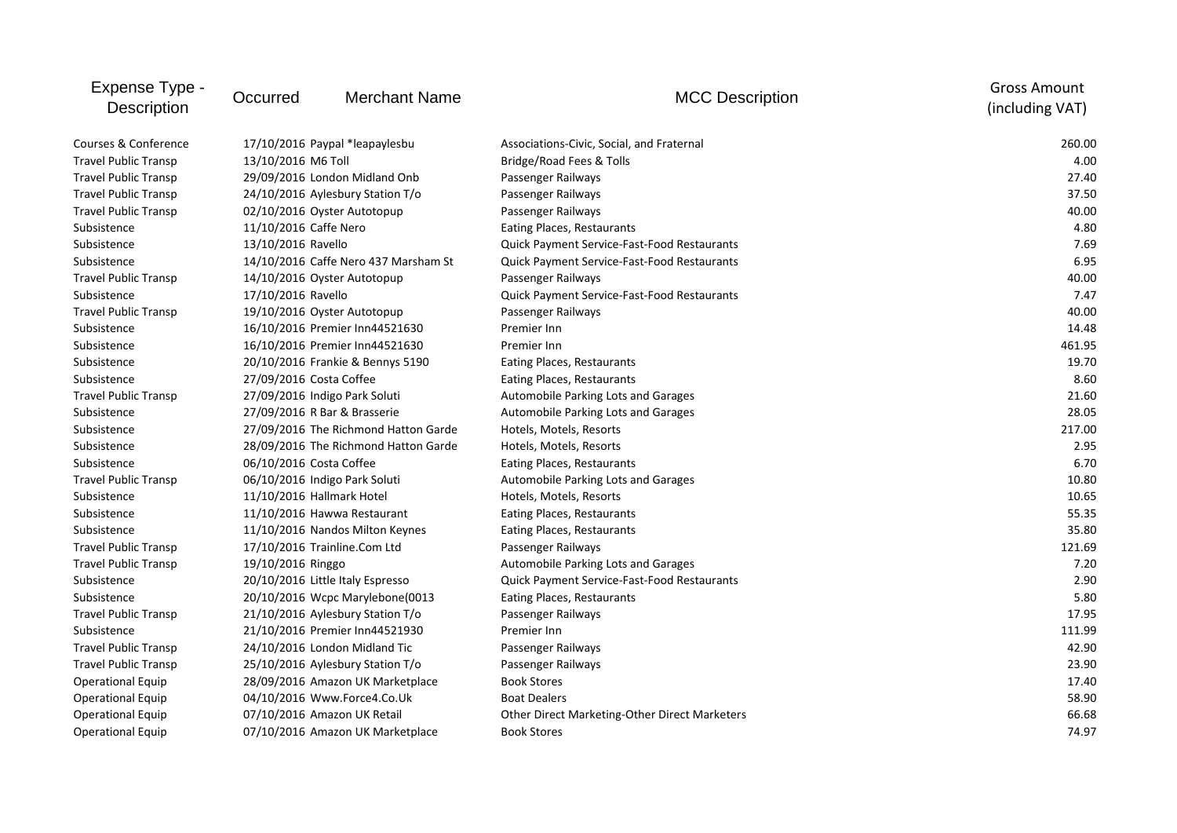| Expense Type -<br><b>Description</b> | Occurred                  | <b>Merchant Name</b>                 | <b>MCC Description</b>                        | <b>Gross Amount</b><br>(including VAT) |
|--------------------------------------|---------------------------|--------------------------------------|-----------------------------------------------|----------------------------------------|
| Courses & Conference                 |                           | 17/10/2016 Paypal *leapaylesbu       | Associations-Civic, Social, and Fraternal     | 260.00                                 |
| <b>Travel Public Transp</b>          | 13/10/2016 M6 Toll        |                                      | Bridge/Road Fees & Tolls                      | 4.00                                   |
| <b>Travel Public Transp</b>          |                           | 29/09/2016 London Midland Onb        | Passenger Railways                            | 27.40                                  |
| <b>Travel Public Transp</b>          |                           | 24/10/2016 Aylesbury Station T/o     | Passenger Railways                            | 37.50                                  |
| <b>Travel Public Transp</b>          |                           | 02/10/2016 Oyster Autotopup          | Passenger Railways                            | 40.00                                  |
| Subsistence                          | 11/10/2016 Caffe Nero     |                                      | Eating Places, Restaurants                    | 4.80                                   |
| Subsistence                          | 13/10/2016 Ravello        |                                      | Quick Payment Service-Fast-Food Restaurants   | 7.69                                   |
| Subsistence                          |                           | 14/10/2016 Caffe Nero 437 Marsham St | Quick Payment Service-Fast-Food Restaurants   | 6.95                                   |
| <b>Travel Public Transp</b>          |                           | 14/10/2016 Oyster Autotopup          | Passenger Railways                            | 40.00                                  |
| Subsistence                          | 17/10/2016 Ravello        |                                      | Quick Payment Service-Fast-Food Restaurants   | 7.47                                   |
| <b>Travel Public Transp</b>          |                           | 19/10/2016 Oyster Autotopup          | Passenger Railways                            | 40.00                                  |
| Subsistence                          |                           | 16/10/2016 Premier Inn44521630       | Premier Inn                                   | 14.48                                  |
| Subsistence                          |                           | 16/10/2016 Premier Inn44521630       | Premier Inn                                   | 461.95                                 |
| Subsistence                          |                           | 20/10/2016 Frankie & Bennys 5190     | Eating Places, Restaurants                    | 19.70                                  |
| Subsistence                          | 27/09/2016 Costa Coffee   |                                      | Eating Places, Restaurants                    | 8.60                                   |
| <b>Travel Public Transp</b>          |                           | 27/09/2016 Indigo Park Soluti        | Automobile Parking Lots and Garages           | 21.60                                  |
| Subsistence                          |                           | 27/09/2016 R Bar & Brasserie         | Automobile Parking Lots and Garages           | 28.05                                  |
| Subsistence                          |                           | 27/09/2016 The Richmond Hatton Garde | Hotels, Motels, Resorts                       | 217.00                                 |
| Subsistence                          |                           | 28/09/2016 The Richmond Hatton Garde | Hotels, Motels, Resorts                       | 2.95                                   |
| Subsistence                          | 06/10/2016 Costa Coffee   |                                      | Eating Places, Restaurants                    | 6.70                                   |
| <b>Travel Public Transp</b>          |                           | 06/10/2016 Indigo Park Soluti        | Automobile Parking Lots and Garages           | 10.80                                  |
| Subsistence                          | 11/10/2016 Hallmark Hotel |                                      | Hotels, Motels, Resorts                       | 10.65                                  |
| Subsistence                          |                           | 11/10/2016 Hawwa Restaurant          | Eating Places, Restaurants                    | 55.35                                  |
| Subsistence                          |                           | 11/10/2016 Nandos Milton Keynes      | Eating Places, Restaurants                    | 35.80                                  |
| <b>Travel Public Transp</b>          |                           | 17/10/2016 Trainline.Com Ltd         | Passenger Railways                            | 121.69                                 |
| <b>Travel Public Transp</b>          | 19/10/2016 Ringgo         |                                      | Automobile Parking Lots and Garages           | 7.20                                   |
| Subsistence                          |                           | 20/10/2016 Little Italy Espresso     | Quick Payment Service-Fast-Food Restaurants   | 2.90                                   |
| Subsistence                          |                           | 20/10/2016 Wcpc Marylebone(0013      | Eating Places, Restaurants                    | 5.80                                   |
| <b>Travel Public Transp</b>          |                           | 21/10/2016 Aylesbury Station T/o     | Passenger Railways                            | 17.95                                  |
| Subsistence                          |                           | 21/10/2016 Premier Inn44521930       | Premier Inn                                   | 111.99                                 |
| <b>Travel Public Transp</b>          |                           | 24/10/2016 London Midland Tic        | Passenger Railways                            | 42.90                                  |
| <b>Travel Public Transp</b>          |                           | 25/10/2016 Aylesbury Station T/o     | Passenger Railways                            | 23.90                                  |
| <b>Operational Equip</b>             |                           | 28/09/2016 Amazon UK Marketplace     | <b>Book Stores</b>                            | 17.40                                  |
| <b>Operational Equip</b>             |                           | 04/10/2016 Www.Force4.Co.Uk          | <b>Boat Dealers</b>                           | 58.90                                  |
| <b>Operational Equip</b>             |                           | 07/10/2016 Amazon UK Retail          | Other Direct Marketing-Other Direct Marketers | 66.68                                  |
| <b>Operational Equip</b>             |                           | 07/10/2016 Amazon UK Marketplace     | <b>Book Stores</b>                            | 74.97                                  |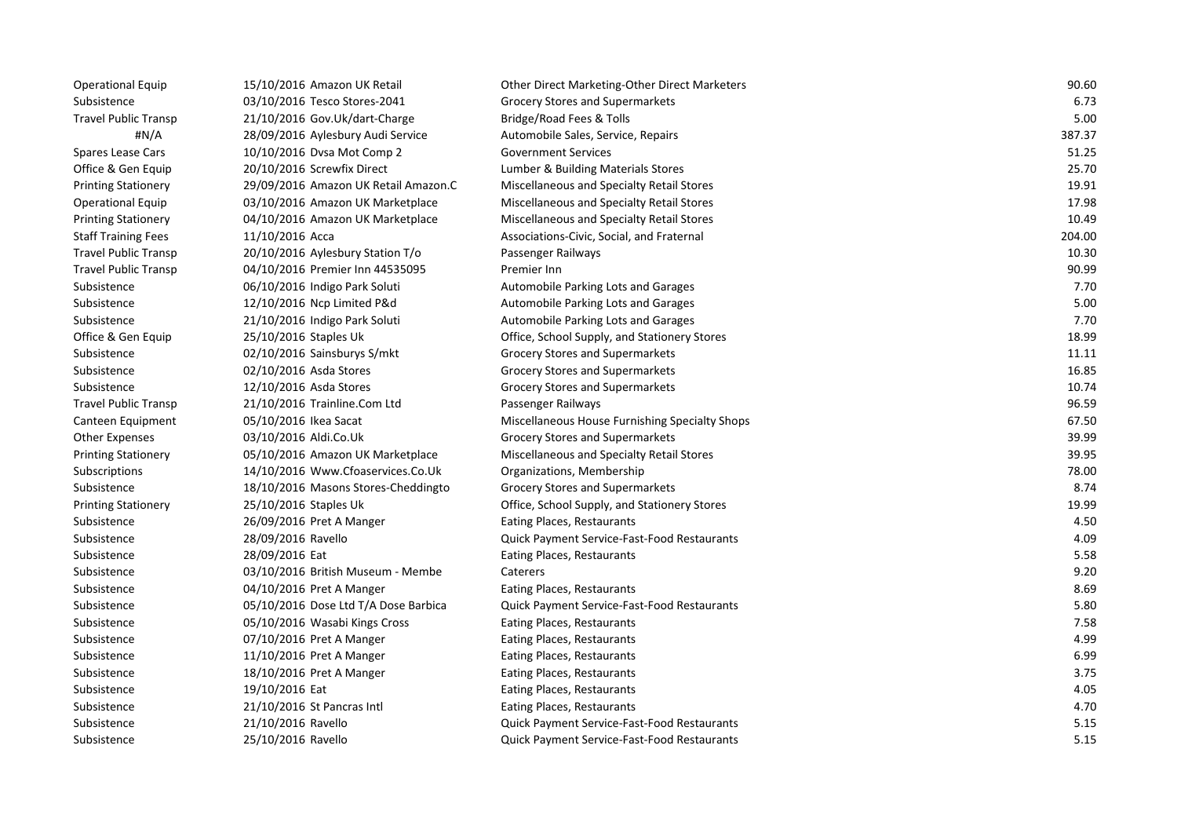| <b>Operational Equip</b>    | 15/10/2016 Amazon UK Retail          | <b>Other Direct Marketing-Other Direct Marketers</b> | 90.60  |
|-----------------------------|--------------------------------------|------------------------------------------------------|--------|
| Subsistence                 | 03/10/2016 Tesco Stores-2041         | <b>Grocery Stores and Supermarkets</b>               | 6.73   |
| <b>Travel Public Transp</b> | 21/10/2016 Gov.Uk/dart-Charge        | Bridge/Road Fees & Tolls                             | 5.00   |
| #N/A                        | 28/09/2016 Aylesbury Audi Service    | Automobile Sales, Service, Repairs                   | 387.37 |
| Spares Lease Cars           | 10/10/2016 Dysa Mot Comp 2           | <b>Government Services</b>                           | 51.25  |
| Office & Gen Equip          | 20/10/2016 Screwfix Direct           | Lumber & Building Materials Stores                   | 25.70  |
| <b>Printing Stationery</b>  | 29/09/2016 Amazon UK Retail Amazon.C | Miscellaneous and Specialty Retail Stores            | 19.91  |
| <b>Operational Equip</b>    | 03/10/2016 Amazon UK Marketplace     | Miscellaneous and Specialty Retail Stores            | 17.98  |
| <b>Printing Stationery</b>  | 04/10/2016 Amazon UK Marketplace     | Miscellaneous and Specialty Retail Stores            | 10.49  |
| <b>Staff Training Fees</b>  | 11/10/2016 Acca                      | Associations-Civic, Social, and Fraternal            | 204.00 |
| <b>Travel Public Transp</b> | 20/10/2016 Aylesbury Station T/o     | Passenger Railways                                   | 10.30  |
| <b>Travel Public Transp</b> | 04/10/2016 Premier Inn 44535095      | Premier Inn                                          | 90.99  |
| Subsistence                 | 06/10/2016 Indigo Park Soluti        | Automobile Parking Lots and Garages                  | 7.70   |
| Subsistence                 | 12/10/2016 Ncp Limited P&d           | Automobile Parking Lots and Garages                  | 5.00   |
| Subsistence                 | 21/10/2016 Indigo Park Soluti        | Automobile Parking Lots and Garages                  | 7.70   |
| Office & Gen Equip          | 25/10/2016 Staples Uk                | Office, School Supply, and Stationery Stores         | 18.99  |
| Subsistence                 | 02/10/2016 Sainsburys S/mkt          | Grocery Stores and Supermarkets                      | 11.11  |
| Subsistence                 | 02/10/2016 Asda Stores               | <b>Grocery Stores and Supermarkets</b>               | 16.85  |
| Subsistence                 | 12/10/2016 Asda Stores               | <b>Grocery Stores and Supermarkets</b>               | 10.74  |
| <b>Travel Public Transp</b> | 21/10/2016 Trainline.Com Ltd         | Passenger Railways                                   | 96.59  |
| Canteen Equipment           | 05/10/2016 Ikea Sacat                | Miscellaneous House Furnishing Specialty Shops       | 67.50  |
| <b>Other Expenses</b>       | 03/10/2016 Aldi.Co.Uk                | Grocery Stores and Supermarkets                      | 39.99  |
| <b>Printing Stationery</b>  | 05/10/2016 Amazon UK Marketplace     | Miscellaneous and Specialty Retail Stores            | 39.95  |
| Subscriptions               | 14/10/2016 Www.Cfoaservices.Co.Uk    | Organizations, Membership                            | 78.00  |
| Subsistence                 | 18/10/2016 Masons Stores-Cheddingto  | Grocery Stores and Supermarkets                      | 8.74   |
| <b>Printing Stationery</b>  | 25/10/2016 Staples Uk                | Office, School Supply, and Stationery Stores         | 19.99  |
| Subsistence                 | 26/09/2016 Pret A Manger             | Eating Places, Restaurants                           | 4.50   |
| Subsistence                 | 28/09/2016 Ravello                   | Quick Payment Service-Fast-Food Restaurants          | 4.09   |
| Subsistence                 | 28/09/2016 Eat                       | Eating Places, Restaurants                           | 5.58   |
| Subsistence                 | 03/10/2016 British Museum - Membe    | Caterers                                             | 9.20   |
| Subsistence                 | 04/10/2016 Pret A Manger             | Eating Places, Restaurants                           | 8.69   |
| Subsistence                 | 05/10/2016 Dose Ltd T/A Dose Barbica | <b>Quick Payment Service-Fast-Food Restaurants</b>   | 5.80   |
| Subsistence                 | 05/10/2016 Wasabi Kings Cross        | Eating Places, Restaurants                           | 7.58   |
| Subsistence                 | 07/10/2016 Pret A Manger             | Eating Places, Restaurants                           | 4.99   |
| Subsistence                 | 11/10/2016 Pret A Manger             | Eating Places, Restaurants                           | 6.99   |
| Subsistence                 | 18/10/2016 Pret A Manger             | Eating Places, Restaurants                           | 3.75   |
| Subsistence                 | 19/10/2016 Eat                       | Eating Places, Restaurants                           | 4.05   |
| Subsistence                 | 21/10/2016 St Pancras Intl           | Eating Places, Restaurants                           | 4.70   |
| Subsistence                 | 21/10/2016 Ravello                   | Quick Payment Service-Fast-Food Restaurants          | 5.15   |
| Subsistence                 | 25/10/2016 Ravello                   | <b>Quick Payment Service-Fast-Food Restaurants</b>   | 5.15   |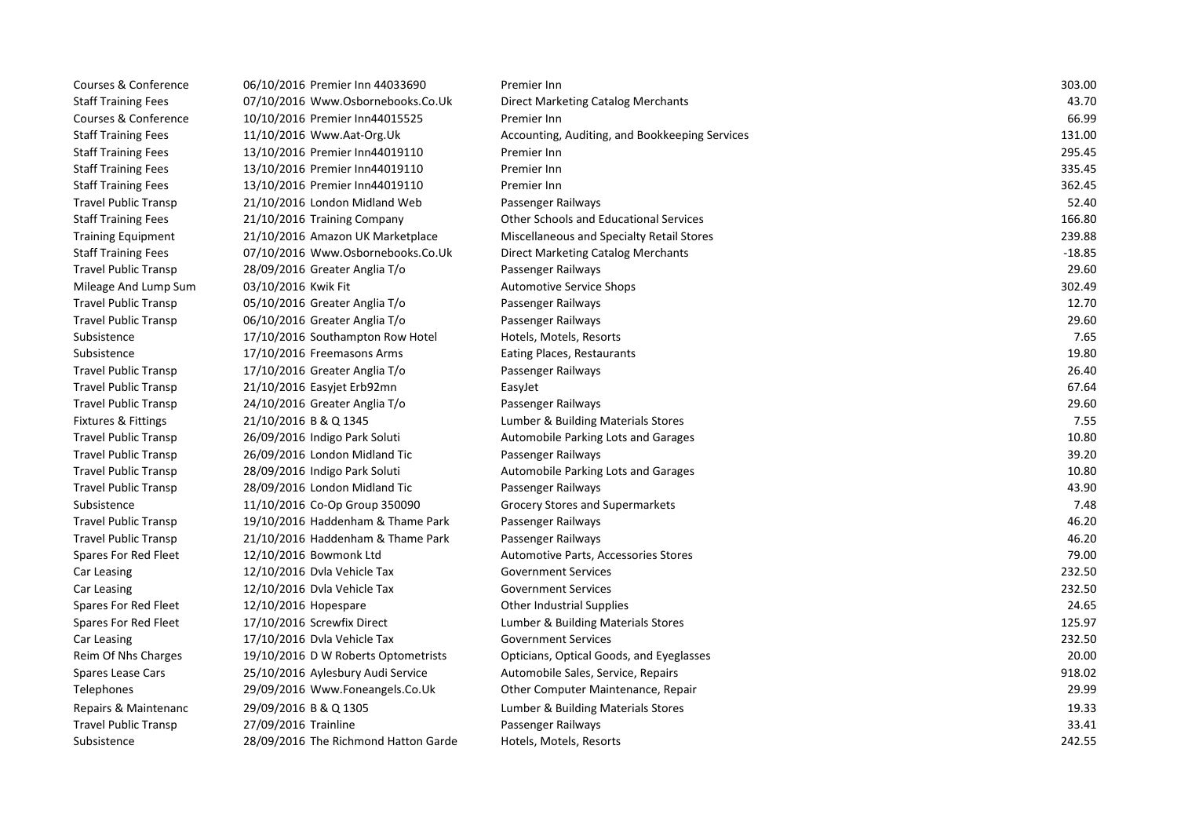| Courses & Conference        | 06/10/2016 Premier Inn 44033690      | Premier Inn                                    | 303.00   |
|-----------------------------|--------------------------------------|------------------------------------------------|----------|
| <b>Staff Training Fees</b>  | 07/10/2016 Www.Osbornebooks.Co.Uk    | Direct Marketing Catalog Merchants             | 43.70    |
| Courses & Conference        | 10/10/2016 Premier Inn44015525       | Premier Inn                                    | 66.99    |
| <b>Staff Training Fees</b>  | 11/10/2016 Www.Aat-Org.Uk            | Accounting, Auditing, and Bookkeeping Services | 131.00   |
| <b>Staff Training Fees</b>  | 13/10/2016 Premier Inn44019110       | Premier Inn                                    | 295.45   |
| <b>Staff Training Fees</b>  | 13/10/2016 Premier Inn44019110       | Premier Inn                                    | 335.45   |
| <b>Staff Training Fees</b>  | 13/10/2016 Premier Inn44019110       | Premier Inn                                    | 362.45   |
| <b>Travel Public Transp</b> | 21/10/2016 London Midland Web        | Passenger Railways                             | 52.40    |
| <b>Staff Training Fees</b>  | 21/10/2016 Training Company          | <b>Other Schools and Educational Services</b>  | 166.80   |
| <b>Training Equipment</b>   | 21/10/2016 Amazon UK Marketplace     | Miscellaneous and Specialty Retail Stores      | 239.88   |
| <b>Staff Training Fees</b>  | 07/10/2016 Www.Osbornebooks.Co.Uk    | Direct Marketing Catalog Merchants             | $-18.85$ |
| <b>Travel Public Transp</b> | 28/09/2016 Greater Anglia T/o        | Passenger Railways                             | 29.60    |
| Mileage And Lump Sum        | 03/10/2016 Kwik Fit                  | <b>Automotive Service Shops</b>                | 302.49   |
| <b>Travel Public Transp</b> | 05/10/2016 Greater Anglia T/o        | Passenger Railways                             | 12.70    |
| <b>Travel Public Transp</b> | 06/10/2016 Greater Anglia T/o        | Passenger Railways                             | 29.60    |
| Subsistence                 | 17/10/2016 Southampton Row Hotel     | Hotels, Motels, Resorts                        | 7.65     |
| Subsistence                 | 17/10/2016 Freemasons Arms           | Eating Places, Restaurants                     | 19.80    |
| <b>Travel Public Transp</b> | 17/10/2016 Greater Anglia T/o        | Passenger Railways                             | 26.40    |
| <b>Travel Public Transp</b> | 21/10/2016 Easyjet Erb92mn           | EasyJet                                        | 67.64    |
| <b>Travel Public Transp</b> | 24/10/2016 Greater Anglia T/o        | Passenger Railways                             | 29.60    |
| Fixtures & Fittings         | 21/10/2016 B & Q 1345                | Lumber & Building Materials Stores             | 7.55     |
| <b>Travel Public Transp</b> | 26/09/2016 Indigo Park Soluti        | Automobile Parking Lots and Garages            | 10.80    |
| <b>Travel Public Transp</b> | 26/09/2016 London Midland Tic        | Passenger Railways                             | 39.20    |
| <b>Travel Public Transp</b> | 28/09/2016 Indigo Park Soluti        | Automobile Parking Lots and Garages            | 10.80    |
| <b>Travel Public Transp</b> | 28/09/2016 London Midland Tic        | Passenger Railways                             | 43.90    |
| Subsistence                 | 11/10/2016 Co-Op Group 350090        | <b>Grocery Stores and Supermarkets</b>         | 7.48     |
| <b>Travel Public Transp</b> | 19/10/2016 Haddenham & Thame Park    | Passenger Railways                             | 46.20    |
| <b>Travel Public Transp</b> | 21/10/2016 Haddenham & Thame Park    | Passenger Railways                             | 46.20    |
| Spares For Red Fleet        | 12/10/2016 Bowmonk Ltd               | Automotive Parts, Accessories Stores           | 79.00    |
| Car Leasing                 | 12/10/2016 Dyla Vehicle Tax          | <b>Government Services</b>                     | 232.50   |
| Car Leasing                 | 12/10/2016 Dvla Vehicle Tax          | <b>Government Services</b>                     | 232.50   |
| Spares For Red Fleet        | 12/10/2016 Hopespare                 | <b>Other Industrial Supplies</b>               | 24.65    |
| Spares For Red Fleet        | 17/10/2016 Screwfix Direct           | Lumber & Building Materials Stores             | 125.97   |
| Car Leasing                 | 17/10/2016 Dvla Vehicle Tax          | <b>Government Services</b>                     | 232.50   |
| Reim Of Nhs Charges         | 19/10/2016 D W Roberts Optometrists  | Opticians, Optical Goods, and Eyeglasses       | 20.00    |
| Spares Lease Cars           | 25/10/2016 Aylesbury Audi Service    | Automobile Sales, Service, Repairs             | 918.02   |
| Telephones                  | 29/09/2016 Www.Foneangels.Co.Uk      | Other Computer Maintenance, Repair             | 29.99    |
| Repairs & Maintenanc        | 29/09/2016 B & Q 1305                | Lumber & Building Materials Stores             | 19.33    |
| <b>Travel Public Transp</b> | 27/09/2016 Trainline                 | Passenger Railways                             | 33.41    |
| Subsistence                 | 28/09/2016 The Richmond Hatton Garde | Hotels, Motels, Resorts                        | 242.55   |
|                             |                                      |                                                |          |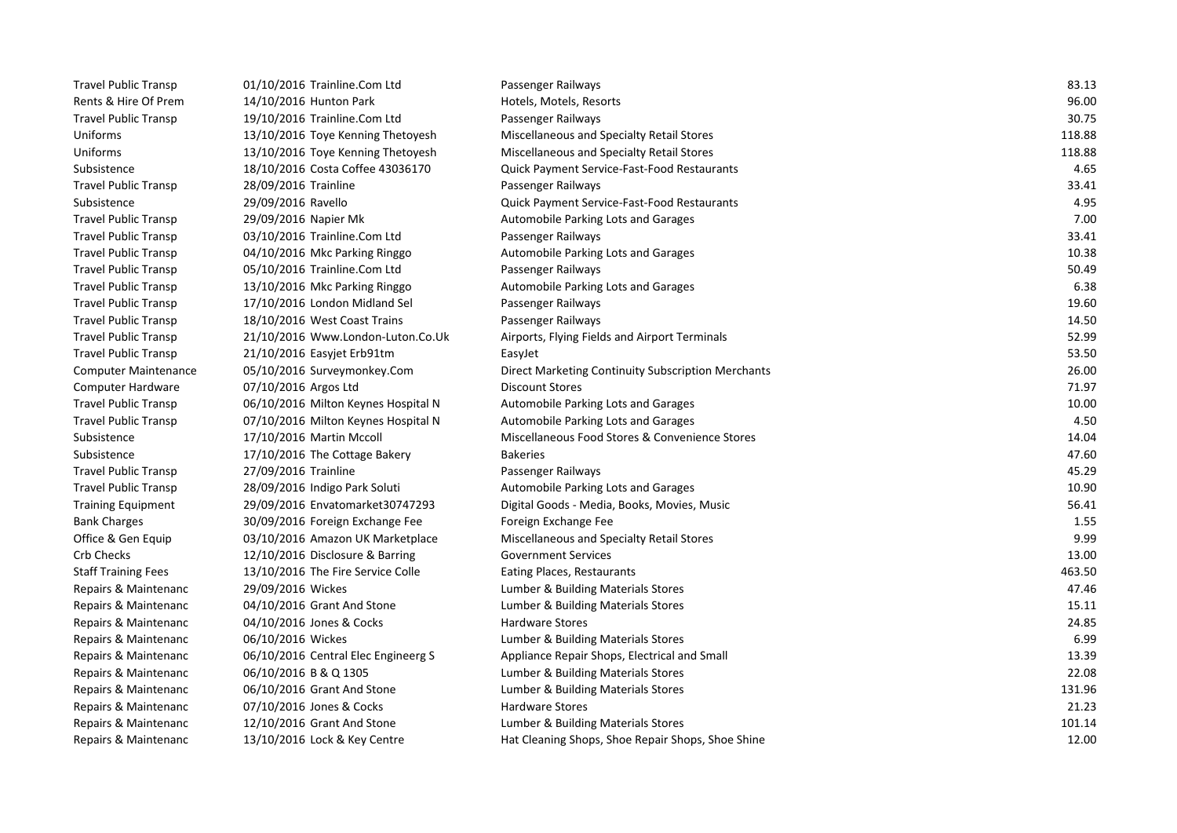| <b>Travel Public Transp</b> | 01/10/2016 Trainline.Com Ltd        | Passenger Railways                                 | 83.13  |
|-----------------------------|-------------------------------------|----------------------------------------------------|--------|
| Rents & Hire Of Prem        | 14/10/2016 Hunton Park              | Hotels, Motels, Resorts                            | 96.00  |
| <b>Travel Public Transp</b> | 19/10/2016 Trainline.Com Ltd        | Passenger Railways                                 | 30.75  |
| Uniforms                    | 13/10/2016 Toye Kenning Thetoyesh   | Miscellaneous and Specialty Retail Stores          | 118.88 |
| Uniforms                    | 13/10/2016 Toye Kenning Thetoyesh   | Miscellaneous and Specialty Retail Stores          | 118.88 |
| Subsistence                 | 18/10/2016 Costa Coffee 43036170    | <b>Quick Payment Service-Fast-Food Restaurants</b> | 4.65   |
| <b>Travel Public Transp</b> | 28/09/2016 Trainline                | Passenger Railways                                 | 33.41  |
| Subsistence                 | 29/09/2016 Ravello                  | Quick Payment Service-Fast-Food Restaurants        | 4.95   |
| <b>Travel Public Transp</b> | 29/09/2016 Napier Mk                | Automobile Parking Lots and Garages                | 7.00   |
| <b>Travel Public Transp</b> | 03/10/2016 Trainline.Com Ltd        | Passenger Railways                                 | 33.41  |
| <b>Travel Public Transp</b> | 04/10/2016 Mkc Parking Ringgo       | Automobile Parking Lots and Garages                | 10.38  |
| <b>Travel Public Transp</b> | 05/10/2016 Trainline.Com Ltd        | Passenger Railways                                 | 50.49  |
| <b>Travel Public Transp</b> | 13/10/2016 Mkc Parking Ringgo       | Automobile Parking Lots and Garages                | 6.38   |
| <b>Travel Public Transp</b> | 17/10/2016 London Midland Sel       | Passenger Railways                                 | 19.60  |
| <b>Travel Public Transp</b> | 18/10/2016 West Coast Trains        | Passenger Railways                                 | 14.50  |
| <b>Travel Public Transp</b> | 21/10/2016 Www.London-Luton.Co.Uk   | Airports, Flying Fields and Airport Terminals      | 52.99  |
| <b>Travel Public Transp</b> | 21/10/2016 Easyjet Erb91tm          | EasyJet                                            | 53.50  |
| <b>Computer Maintenance</b> | 05/10/2016 Surveymonkey.Com         | Direct Marketing Continuity Subscription Merchants | 26.00  |
| <b>Computer Hardware</b>    | 07/10/2016 Argos Ltd                | <b>Discount Stores</b>                             | 71.97  |
| <b>Travel Public Transp</b> | 06/10/2016 Milton Keynes Hospital N | Automobile Parking Lots and Garages                | 10.00  |
| <b>Travel Public Transp</b> | 07/10/2016 Milton Keynes Hospital N | Automobile Parking Lots and Garages                | 4.50   |
| Subsistence                 | 17/10/2016 Martin Mccoll            | Miscellaneous Food Stores & Convenience Stores     | 14.04  |
| Subsistence                 | 17/10/2016 The Cottage Bakery       | <b>Bakeries</b>                                    | 47.60  |
| <b>Travel Public Transp</b> | 27/09/2016 Trainline                | Passenger Railways                                 | 45.29  |
| <b>Travel Public Transp</b> | 28/09/2016 Indigo Park Soluti       | Automobile Parking Lots and Garages                | 10.90  |
| <b>Training Equipment</b>   | 29/09/2016 Envatomarket30747293     | Digital Goods - Media, Books, Movies, Music        | 56.41  |
| <b>Bank Charges</b>         | 30/09/2016 Foreign Exchange Fee     | Foreign Exchange Fee                               | 1.55   |
| Office & Gen Equip          | 03/10/2016 Amazon UK Marketplace    | Miscellaneous and Specialty Retail Stores          | 9.99   |
| Crb Checks                  | 12/10/2016 Disclosure & Barring     | <b>Government Services</b>                         | 13.00  |
| <b>Staff Training Fees</b>  | 13/10/2016 The Fire Service Colle   | Eating Places, Restaurants                         | 463.50 |
| Repairs & Maintenanc        | 29/09/2016 Wickes                   | Lumber & Building Materials Stores                 | 47.46  |
| Repairs & Maintenanc        | 04/10/2016 Grant And Stone          | Lumber & Building Materials Stores                 | 15.11  |
| Repairs & Maintenanc        | 04/10/2016 Jones & Cocks            | <b>Hardware Stores</b>                             | 24.85  |
| Repairs & Maintenanc        | 06/10/2016 Wickes                   | Lumber & Building Materials Stores                 | 6.99   |
| Repairs & Maintenanc        | 06/10/2016 Central Elec Engineerg S | Appliance Repair Shops, Electrical and Small       | 13.39  |
| Repairs & Maintenanc        | 06/10/2016 B & Q 1305               | Lumber & Building Materials Stores                 | 22.08  |
| Repairs & Maintenanc        | 06/10/2016 Grant And Stone          | Lumber & Building Materials Stores                 | 131.96 |
| Repairs & Maintenanc        | 07/10/2016 Jones & Cocks            | <b>Hardware Stores</b>                             | 21.23  |
| Repairs & Maintenanc        | 12/10/2016 Grant And Stone          | Lumber & Building Materials Stores                 | 101.14 |
| Repairs & Maintenanc        | 13/10/2016 Lock & Key Centre        | Hat Cleaning Shops, Shoe Repair Shops, Shoe Shine  | 12.00  |
|                             |                                     |                                                    |        |